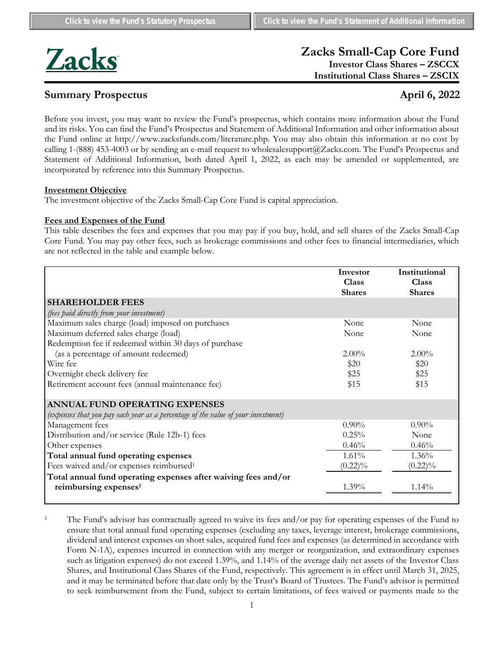

# **Zacks Small-Cap Core Fund Investor Class Shares – ZSCCX**

**Institutional Class Shares – ZSCIX**

# **Summary Prospectus April 6, 2022**

Before you invest, you may want to review the Fund's prospectus, which contains more information about the Fund and its risks. You can find the Fund's Prospectus and Statement of Additional Information and other information about the Fund online at http://www.zacksfunds.com/literature.php. You may also obtain this information at no cost by calling 1-(888) 453-4003 or by sending an e-mail request to wholesalesupport@Zacks.com. The Fund's Prospectus and Statement of Additional Information, both dated April 1, 2022, as each may be amended or supplemented, are incorporated by reference into this Summary Prospectus.

### **Investment Objective**

The investment objective of the Zacks Small-Cap Core Fund is capital appreciation.

### **Fees and Expenses of the Fund**

This table describes the fees and expenses that you may pay if you buy, hold, and sell shares of the Zacks Small-Cap Core Fund. You may pay other fees, such as brokerage commissions and other fees to financial intermediaries, which are not reflected in the table and example below.

|                                                                                   | Investor      | Institutional |
|-----------------------------------------------------------------------------------|---------------|---------------|
|                                                                                   | <b>Class</b>  | <b>Class</b>  |
|                                                                                   | <b>Shares</b> | <b>Shares</b> |
| <b>SHAREHOLDER FEES</b>                                                           |               |               |
| (fees paid directly from your investment)                                         |               |               |
| Maximum sales charge (load) imposed on purchases                                  | None          | None          |
| Maximum deferred sales charge (load)                                              | None          | None          |
| Redemption fee if redeemed within 30 days of purchase                             |               |               |
| (as a percentage of amount redeemed)                                              | $2.00\%$      | $2.00\%$      |
| Wire fee                                                                          | \$20          | \$20          |
| Overnight check delivery fee                                                      | \$25          | \$25          |
| Retirement account fees (annual maintenance fee)                                  | \$15          | \$15          |
|                                                                                   |               |               |
| <b>ANNUAL FUND OPERATING EXPENSES</b>                                             |               |               |
| (expenses that you pay each year as a percentage of the value of your investment) |               |               |
| Management fees                                                                   | $0.90\%$      | $0.90\%$      |
| Distribution and/or service (Rule 12b-1) fees                                     | 0.25%         | None          |
| Other expenses                                                                    | 0.46%         | 0.46%         |
| Total annual fund operating expenses                                              | 1.61%         | $1.36\%$      |
| Fees waived and/or expenses reimbursed <sup>1</sup>                               | $(0.22)\%$    | $(0.22)\%$    |
| Total annual fund operating expenses after waiving fees and/or                    |               |               |
| reimbursing expenses <sup>1</sup>                                                 | $1.39\%$      | $1.14\%$      |
|                                                                                   |               |               |

<sup>1</sup> The Fund's advisor has contractually agreed to waive its fees and/or pay for operating expenses of the Fund to ensure that total annual fund operating expenses (excluding any taxes, leverage interest, brokerage commissions, dividend and interest expenses on short sales, acquired fund fees and expenses (as determined in accordance with Form N-1A), expenses incurred in connection with any merger or reorganization, and extraordinary expenses such as litigation expenses) do not exceed 1.39%, and 1.14% of the average daily net assets of the Investor Class Shares, and Institutional Class Shares of the Fund, respectively. This agreement is in effect until March 31, 2025, and it may be terminated before that date only by the Trust's Board of Trustees. The Fund's advisor is permitted to seek reimbursement from the Fund, subject to certain limitations, of fees waived or payments made to the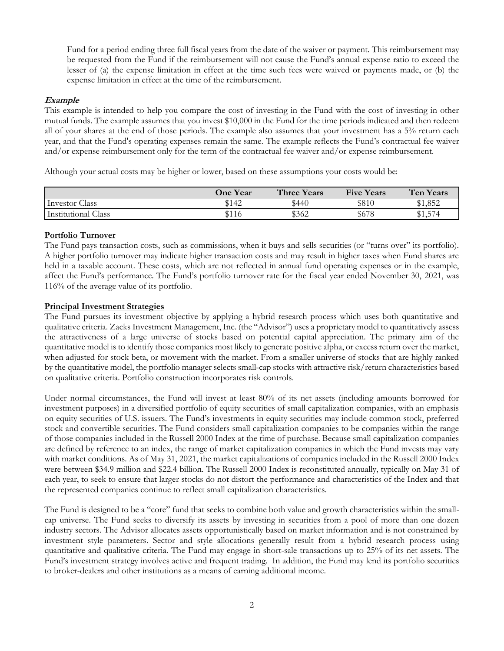Fund for a period ending three full fiscal years from the date of the waiver or payment. This reimbursement may be requested from the Fund if the reimbursement will not cause the Fund's annual expense ratio to exceed the lesser of (a) the expense limitation in effect at the time such fees were waived or payments made, or (b) the expense limitation in effect at the time of the reimbursement.

## **Example**

This example is intended to help you compare the cost of investing in the Fund with the cost of investing in other mutual funds. The example assumes that you invest \$10,000 in the Fund for the time periods indicated and then redeem all of your shares at the end of those periods. The example also assumes that your investment has a 5% return each year, and that the Fund's operating expenses remain the same. The example reflects the Fund's contractual fee waiver and/or expense reimbursement only for the term of the contractual fee waiver and/or expense reimbursement.

Although your actual costs may be higher or lower, based on these assumptions your costs would be:

|                            | <b>One Year</b> | <b>Three Years</b> | <b>Five Years</b> | <b>Ten Years</b> |
|----------------------------|-----------------|--------------------|-------------------|------------------|
| <b>Investor Class</b>      | \$142           | \$440              | \$810             | \$1,852          |
| <b>Institutional Class</b> | \$116           | \$362              | \$678             | \$1,574          |

# **Portfolio Turnover**

The Fund pays transaction costs, such as commissions, when it buys and sells securities (or "turns over" its portfolio). A higher portfolio turnover may indicate higher transaction costs and may result in higher taxes when Fund shares are held in a taxable account. These costs, which are not reflected in annual fund operating expenses or in the example, affect the Fund's performance. The Fund's portfolio turnover rate for the fiscal year ended November 30, 2021, was 116% of the average value of its portfolio.

### **Principal Investment Strategies**

The Fund pursues its investment objective by applying a hybrid research process which uses both quantitative and qualitative criteria. Zacks Investment Management, Inc. (the "Advisor") uses a proprietary model to quantitatively assess the attractiveness of a large universe of stocks based on potential capital appreciation. The primary aim of the quantitative model is to identify those companies most likely to generate positive alpha, or excess return over the market, when adjusted for stock beta, or movement with the market. From a smaller universe of stocks that are highly ranked by the quantitative model, the portfolio manager selects small-cap stocks with attractive risk/return characteristics based on qualitative criteria. Portfolio construction incorporates risk controls.

Under normal circumstances, the Fund will invest at least 80% of its net assets (including amounts borrowed for investment purposes) in a diversified portfolio of equity securities of small capitalization companies, with an emphasis on equity securities of U.S. issuers. The Fund's investments in equity securities may include common stock, preferred stock and convertible securities. The Fund considers small capitalization companies to be companies within the range of those companies included in the Russell 2000 Index at the time of purchase. Because small capitalization companies are defined by reference to an index, the range of market capitalization companies in which the Fund invests may vary with market conditions. As of May 31, 2021, the market capitalizations of companies included in the Russell 2000 Index were between \$34.9 million and \$22.4 billion. The Russell 2000 Index is reconstituted annually, typically on May 31 of each year, to seek to ensure that larger stocks do not distort the performance and characteristics of the Index and that the represented companies continue to reflect small capitalization characteristics.

The Fund is designed to be a "core" fund that seeks to combine both value and growth characteristics within the smallcap universe. The Fund seeks to diversify its assets by investing in securities from a pool of more than one dozen industry sectors. The Advisor allocates assets opportunistically based on market information and is not constrained by investment style parameters. Sector and style allocations generally result from a hybrid research process using quantitative and qualitative criteria. The Fund may engage in short-sale transactions up to 25% of its net assets. The Fund's investment strategy involves active and frequent trading. In addition, the Fund may lend its portfolio securities to broker-dealers and other institutions as a means of earning additional income.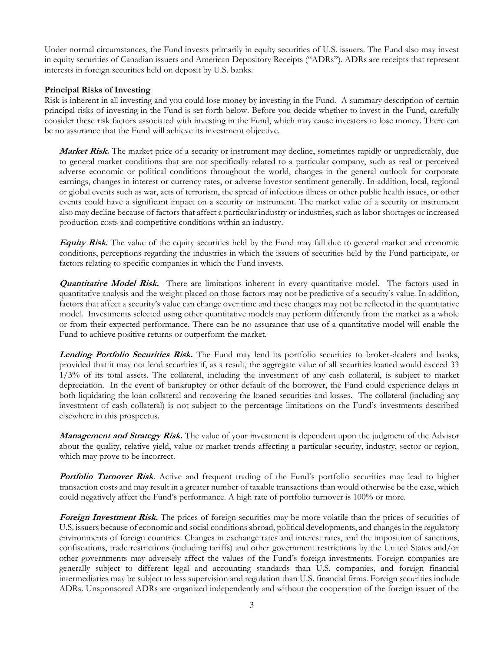Under normal circumstances, the Fund invests primarily in equity securities of U.S. issuers. The Fund also may invest in equity securities of Canadian issuers and American Depository Receipts ("ADRs"). ADRs are receipts that represent interests in foreign securities held on deposit by U.S. banks.

## **Principal Risks of Investing**

Risk is inherent in all investing and you could lose money by investing in the Fund. A summary description of certain principal risks of investing in the Fund is set forth below. Before you decide whether to invest in the Fund, carefully consider these risk factors associated with investing in the Fund, which may cause investors to lose money. There can be no assurance that the Fund will achieve its investment objective.

**Market Risk.** The market price of a security or instrument may decline, sometimes rapidly or unpredictably, due to general market conditions that are not specifically related to a particular company, such as real or perceived adverse economic or political conditions throughout the world, changes in the general outlook for corporate earnings, changes in interest or currency rates, or adverse investor sentiment generally. In addition, local, regional or global events such as war, acts of terrorism, the spread of infectious illness or other public health issues, or other events could have a significant impact on a security or instrument. The market value of a security or instrument also may decline because of factors that affect a particular industry or industries, such as labor shortages or increased production costs and competitive conditions within an industry.

**Equity Risk**. The value of the equity securities held by the Fund may fall due to general market and economic conditions, perceptions regarding the industries in which the issuers of securities held by the Fund participate, or factors relating to specific companies in which the Fund invests.

**Quantitative Model Risk.** There are limitations inherent in every quantitative model. The factors used in quantitative analysis and the weight placed on those factors may not be predictive of a security's value. In addition, factors that affect a security's value can change over time and these changes may not be reflected in the quantitative model. Investments selected using other quantitative models may perform differently from the market as a whole or from their expected performance. There can be no assurance that use of a quantitative model will enable the Fund to achieve positive returns or outperform the market.

Lending Portfolio Securities Risk. The Fund may lend its portfolio securities to broker-dealers and banks, provided that it may not lend securities if, as a result, the aggregate value of all securities loaned would exceed 33 1/3% of its total assets. The collateral, including the investment of any cash collateral, is subject to market depreciation. In the event of bankruptcy or other default of the borrower, the Fund could experience delays in both liquidating the loan collateral and recovering the loaned securities and losses. The collateral (including any investment of cash collateral) is not subject to the percentage limitations on the Fund's investments described elsewhere in this prospectus.

**Management and Strategy Risk.** The value of your investment is dependent upon the judgment of the Advisor about the quality, relative yield, value or market trends affecting a particular security, industry, sector or region, which may prove to be incorrect.

Portfolio Turnover Risk. Active and frequent trading of the Fund's portfolio securities may lead to higher transaction costs and may result in a greater number of taxable transactions than would otherwise be the case, which could negatively affect the Fund's performance. A high rate of portfolio turnover is 100% or more.

**Foreign Investment Risk.** The prices of foreign securities may be more volatile than the prices of securities of U.S. issuers because of economic and social conditions abroad, political developments, and changes in the regulatory environments of foreign countries. Changes in exchange rates and interest rates, and the imposition of sanctions, confiscations, trade restrictions (including tariffs) and other government restrictions by the United States and/or other governments may adversely affect the values of the Fund's foreign investments. Foreign companies are generally subject to different legal and accounting standards than U.S. companies, and foreign financial intermediaries may be subject to less supervision and regulation than U.S. financial firms. Foreign securities include ADRs. Unsponsored ADRs are organized independently and without the cooperation of the foreign issuer of the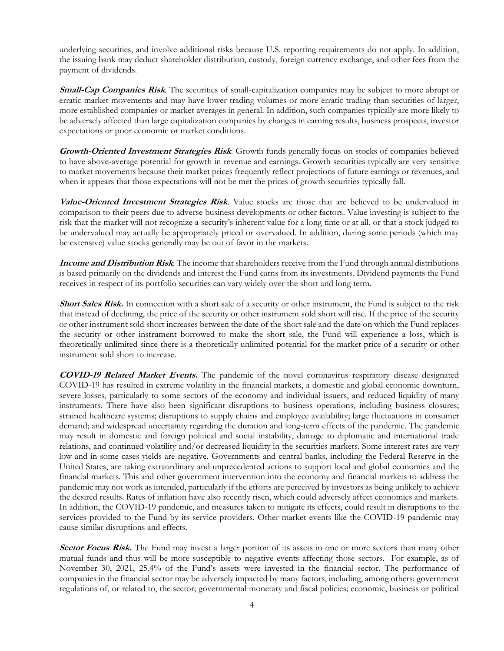underlying securities, and involve additional risks because U.S. reporting requirements do not apply. In addition, the issuing bank may deduct shareholder distribution, custody, foreign currency exchange, and other fees from the payment of dividends.

**Small-Cap Companies Risk**. The securities of small-capitalization companies may be subject to more abrupt or erratic market movements and may have lower trading volumes or more erratic trading than securities of larger, more established companies or market averages in general. In addition, such companies typically are more likely to be adversely affected than large capitalization companies by changes in earning results, business prospects, investor expectations or poor economic or market conditions.

**Growth-Oriented Investment Strategies Risk**. Growth funds generally focus on stocks of companies believed to have above-average potential for growth in revenue and earnings. Growth securities typically are very sensitive to market movements because their market prices frequently reflect projections of future earnings or revenues, and when it appears that those expectations will not be met the prices of growth securities typically fall.

**Value-Oriented Investment Strategies Risk**. Value stocks are those that are believed to be undervalued in comparison to their peers due to adverse business developments or other factors. Value investing is subject to the risk that the market will not recognize a security's inherent value for a long time or at all, or that a stock judged to be undervalued may actually be appropriately priced or overvalued. In addition, during some periods (which may be extensive) value stocks generally may be out of favor in the markets.

**Income and Distribution Risk**. The income that shareholders receive from the Fund through annual distributions is based primarily on the dividends and interest the Fund earns from its investments. Dividend payments the Fund receives in respect of its portfolio securities can vary widely over the short and long term.

**Short Sales Risk.** In connection with a short sale of a security or other instrument, the Fund is subject to the risk that instead of declining, the price of the security or other instrument sold short will rise. If the price of the security or other instrument sold short increases between the date of the short sale and the date on which the Fund replaces the security or other instrument borrowed to make the short sale, the Fund will experience a loss, which is theoretically unlimited since there is a theoretically unlimited potential for the market price of a security or other instrument sold short to increase.

**COVID-19 Related Market Events.** The pandemic of the novel coronavirus respiratory disease designated COVID-19 has resulted in extreme volatility in the financial markets, a domestic and global economic downturn, severe losses, particularly to some sectors of the economy and individual issuers, and reduced liquidity of many instruments. There have also been significant disruptions to business operations, including business closures; strained healthcare systems; disruptions to supply chains and employee availability; large fluctuations in consumer demand; and widespread uncertainty regarding the duration and long-term effects of the pandemic. The pandemic may result in domestic and foreign political and social instability, damage to diplomatic and international trade relations, and continued volatility and/or decreased liquidity in the securities markets. Some interest rates are very low and in some cases yields are negative. Governments and central banks, including the Federal Reserve in the United States, are taking extraordinary and unprecedented actions to support local and global economies and the financial markets. This and other government intervention into the economy and financial markets to address the pandemic may not work as intended, particularly if the efforts are perceived by investors as being unlikely to achieve the desired results. Rates of inflation have also recently risen, which could adversely affect economies and markets. In addition, the COVID-19 pandemic, and measures taken to mitigate its effects, could result in disruptions to the services provided to the Fund by its service providers. Other market events like the COVID-19 pandemic may cause similar disruptions and effects.

**Sector Focus Risk.** The Fund may invest a larger portion of its assets in one or more sectors than many other mutual funds and thus will be more susceptible to negative events affecting those sectors. For example, as of November 30, 2021, 25.4% of the Fund's assets were invested in the financial sector. The performance of companies in the financial sector may be adversely impacted by many factors, including, among others: government regulations of, or related to, the sector; governmental monetary and fiscal policies; economic, business or political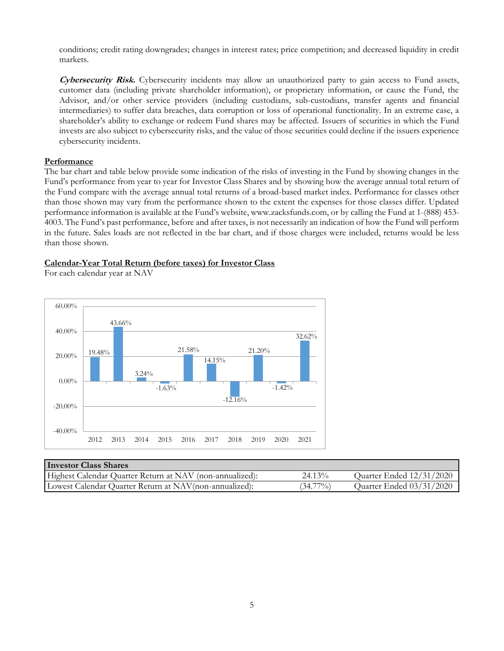conditions; credit rating downgrades; changes in interest rates; price competition; and decreased liquidity in credit markets.

**Cybersecurity Risk.** Cybersecurity incidents may allow an unauthorized party to gain access to Fund assets, customer data (including private shareholder information), or proprietary information, or cause the Fund, the Advisor, and/or other service providers (including custodians, sub-custodians, transfer agents and financial intermediaries) to suffer data breaches, data corruption or loss of operational functionality. In an extreme case, a shareholder's ability to exchange or redeem Fund shares may be affected. Issuers of securities in which the Fund invests are also subject to cybersecurity risks, and the value of those securities could decline if the issuers experience cybersecurity incidents.

#### **Performance**

The bar chart and table below provide some indication of the risks of investing in the Fund by showing changes in the Fund's performance from year to year for Investor Class Shares and by showing how the average annual total return of the Fund compare with the average annual total returns of a broad-based market index. Performance for classes other than those shown may vary from the performance shown to the extent the expenses for those classes differ. Updated performance information is available at the Fund's website, www.zacksfunds.com, or by calling the Fund at 1-(888) 453- 4003. The Fund's past performance, before and after taxes, is not necessarily an indication of how the Fund will perform in the future. Sales loads are not reflected in the bar chart, and if those charges were included, returns would be less than those shown.

#### **Calendar-Year Total Return (before taxes) for Investor Class**

For each calendar year at NAV



| <b>Investor Class Shares</b>                             |             |                          |
|----------------------------------------------------------|-------------|--------------------------|
| Highest Calendar Quarter Return at NAV (non-annualized): | 24.13%      | Quarter Ended 12/31/2020 |
| Lowest Calendar Quarter Return at NAV(non-annualized):   | $(34.77\%)$ | Quarter Ended 03/31/2020 |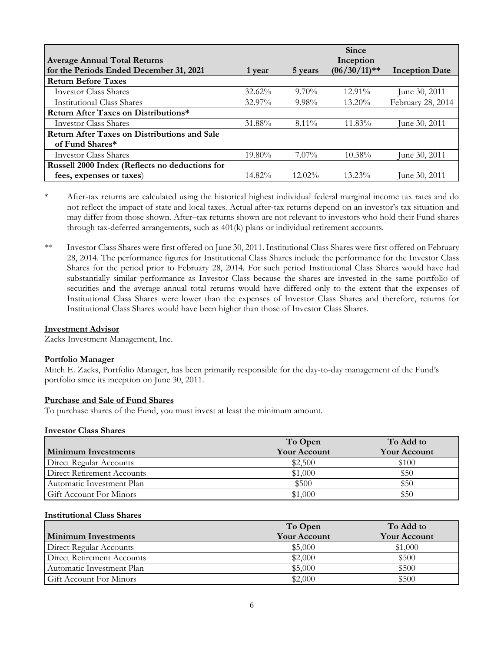|                                                     |           |           | <b>Since</b>   |                       |
|-----------------------------------------------------|-----------|-----------|----------------|-----------------------|
| <b>Average Annual Total Returns</b>                 |           |           | Inception      |                       |
| for the Periods Ended December 31, 2021             | 1 year    | 5 years   | $(06/30/11)**$ | <b>Inception Date</b> |
| <b>Return Before Taxes</b>                          |           |           |                |                       |
| <b>Investor Class Shares</b>                        | $32.62\%$ | $9.70\%$  | 12.91%         | June 30, 2011         |
| Institutional Class Shares                          | $32.97\%$ | $9.98\%$  | 13.20%         | February 28, 2014     |
| Return After Taxes on Distributions*                |           |           |                |                       |
| Investor Class Shares                               | 31.88%    | $8.11\%$  | $11.83\%$      | June 30, 2011         |
| <b>Return After Taxes on Distributions and Sale</b> |           |           |                |                       |
| of Fund Shares*                                     |           |           |                |                       |
| <b>Investor Class Shares</b>                        | 19.80%    | $7.07\%$  | $10.38\%$      | June 30, 2011         |
| Russell 2000 Index (Reflects no deductions for      |           |           |                |                       |
| fees, expenses or taxes)                            | $14.82\%$ | $12.02\%$ | $13.23\%$      | June 30, 2011         |

\* After-tax returns are calculated using the historical highest individual federal marginal income tax rates and do not reflect the impact of state and local taxes. Actual after-tax returns depend on an investor's tax situation and may differ from those shown. After–tax returns shown are not relevant to investors who hold their Fund shares through tax-deferred arrangements, such as 401(k) plans or individual retirement accounts.

\*\* Investor Class Shares were first offered on June 30, 2011. Institutional Class Shares were first offered on February 28, 2014. The performance figures for Institutional Class Shares include the performance for the Investor Class Shares for the period prior to February 28, 2014. For such period Institutional Class Shares would have had substantially similar performance as Investor Class because the shares are invested in the same portfolio of securities and the average annual total returns would have differed only to the extent that the expenses of Institutional Class Shares were lower than the expenses of Investor Class Shares and therefore, returns for Institutional Class Shares would have been higher than those of Investor Class Shares.

#### **Investment Advisor**

Zacks Investment Management, Inc.

#### **Portfolio Manager**

Mitch E. Zacks, Portfolio Manager, has been primarily responsible for the day-to-day management of the Fund's portfolio since its inception on June 30, 2011.

#### **Purchase and Sale of Fund Shares**

To purchase shares of the Fund, you must invest at least the minimum amount.

#### **Investor Class Shares**

|                            | To Open             | To Add to           |
|----------------------------|---------------------|---------------------|
| <b>Minimum Investments</b> | <b>Your Account</b> | <b>Your Account</b> |
| Direct Regular Accounts    | \$2,500             | \$100               |
| Direct Retirement Accounts | \$1,000             | \$50                |
| Automatic Investment Plan  | \$500               | \$50                |
| Gift Account For Minors    | \$1,000             | \$50                |

#### **Institutional Class Shares**

|                            | To Open             | To Add to           |
|----------------------------|---------------------|---------------------|
| <b>Minimum Investments</b> | <b>Your Account</b> | <b>Your Account</b> |
| Direct Regular Accounts    | \$5,000             | \$1,000             |
| Direct Retirement Accounts | \$2,000             | \$500               |
| Automatic Investment Plan  | \$5,000             | \$500               |
| Gift Account For Minors    | \$2,000             | \$500               |